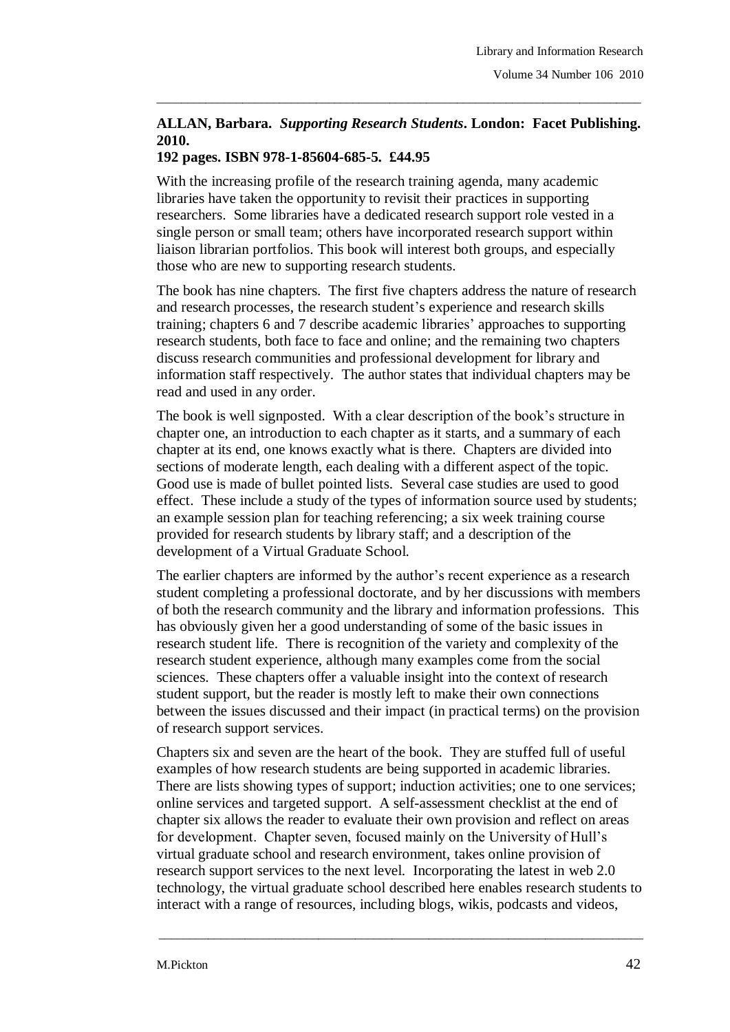## **ALLAN, Barbara.** *Supporting Research Students***. London: Facet Publishing. 2010.**

\_\_\_\_\_\_\_\_\_\_\_\_\_\_\_\_\_\_\_\_\_\_\_\_\_\_\_\_\_\_\_\_\_\_\_\_\_\_\_\_\_\_\_\_\_\_\_\_\_\_\_\_\_\_\_\_\_\_\_\_\_\_\_\_\_\_\_\_\_\_\_\_\_\_\_\_\_\_\_

## **192 pages. ISBN 978-1-85604-685-5. £44.95**

With the increasing profile of the research training agenda, many academic libraries have taken the opportunity to revisit their practices in supporting researchers. Some libraries have a dedicated research support role vested in a single person or small team; others have incorporated research support within liaison librarian portfolios. This book will interest both groups, and especially those who are new to supporting research students.

The book has nine chapters. The first five chapters address the nature of research and research processes, the research student's experience and research skills training; chapters 6 and 7 describe academic libraries' approaches to supporting research students, both face to face and online; and the remaining two chapters discuss research communities and professional development for library and information staff respectively. The author states that individual chapters may be read and used in any order.

The book is well signposted. With a clear description of the book's structure in chapter one, an introduction to each chapter as it starts, and a summary of each chapter at its end, one knows exactly what is there. Chapters are divided into sections of moderate length, each dealing with a different aspect of the topic. Good use is made of bullet pointed lists. Several case studies are used to good effect. These include a study of the types of information source used by students; an example session plan for teaching referencing; a six week training course provided for research students by library staff; and a description of the development of a Virtual Graduate School.

The earlier chapters are informed by the author's recent experience as a research student completing a professional doctorate, and by her discussions with members of both the research community and the library and information professions. This has obviously given her a good understanding of some of the basic issues in research student life. There is recognition of the variety and complexity of the research student experience, although many examples come from the social sciences. These chapters offer a valuable insight into the context of research student support, but the reader is mostly left to make their own connections between the issues discussed and their impact (in practical terms) on the provision of research support services.

Chapters six and seven are the heart of the book. They are stuffed full of useful examples of how research students are being supported in academic libraries. There are lists showing types of support; induction activities; one to one services; online services and targeted support. A self-assessment checklist at the end of chapter six allows the reader to evaluate their own provision and reflect on areas for development. Chapter seven, focused mainly on the University of Hull's virtual graduate school and research environment, takes online provision of research support services to the next level. Incorporating the latest in web 2.0 technology, the virtual graduate school described here enables research students to interact with a range of resources, including blogs, wikis, podcasts and videos,

\_\_\_\_\_\_\_\_\_\_\_\_\_\_\_\_\_\_\_\_\_\_\_\_\_\_\_\_\_\_\_\_\_\_\_\_\_\_\_\_\_\_\_\_\_\_\_\_\_\_\_\_\_\_\_\_\_\_\_\_\_\_\_\_\_\_\_\_\_\_\_\_\_\_\_\_\_\_\_